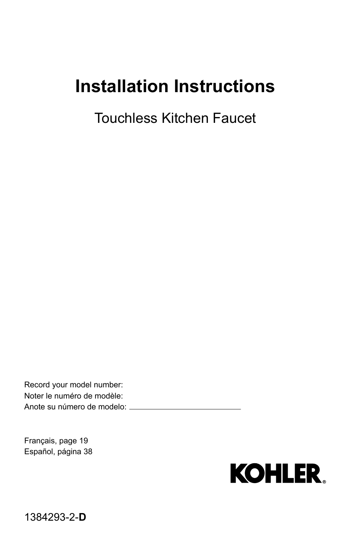# **Installation Instructions**

# Touchless Kitchen Faucet

Record your model number: Noter le numéro de modèle: Anote su número de modelo:

[Français, page 19](#page-18-0) [Español, página 38](#page-37-0)

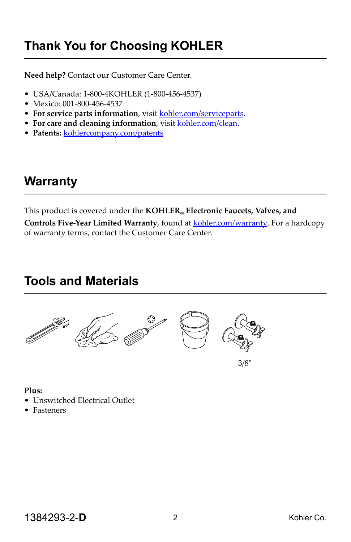### **Thank You for Choosing KOHLER**

**Need help?** Contact our Customer Care Center.

- USA/Canada: 1-800-4KOHLER (1-800-456-4537)
- Mexico: 001-800-456-4537
- For service parts information, visit [kohler.com/serviceparts.](http://kohler.com/serviceparts)
- **For care and cleaning information**, visit [kohler.com/clean.](http://kohler.com/clean)
- **Patents:** [kohlercompany.com/patents](https://www.kohlercompany.com/patents)

### **Warranty**

This product is covered under the **KOHLER® Electronic Faucets, Valves, and**

**Controls Five-Year Limited Warranty**, found at [kohler.com/warranty.](http://kohler.com/warranty) For a hardcopy of warranty terms, contact the Customer Care Center.

### **Tools and Materials**



**Plus:**

- Unswitched Electrical Outlet
- Fasteners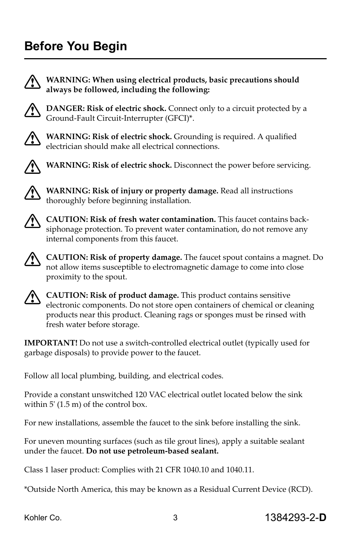### **Before You Begin**



**CAUTION: Risk of product damage.** This product contains sensitive electronic components. Do not store open containers of chemical or cleaning products near this product. Cleaning rags or sponges must be rinsed with fresh water before storage.

**IMPORTANT!** Do not use a switch-controlled electrical outlet (typically used for garbage disposals) to provide power to the faucet.

Follow all local plumbing, building, and electrical codes.

Provide a constant unswitched 120 VAC electrical outlet located below the sink within 5' (1.5 m) of the control box.

For new installations, assemble the faucet to the sink before installing the sink.

For uneven mounting surfaces (such as tile grout lines), apply a suitable sealant under the faucet. **Do not use petroleum-based sealant.**

Class 1 laser product: Complies with 21 CFR 1040.10 and 1040.11.

\*Outside North America, this may be known as a Residual Current Device (RCD).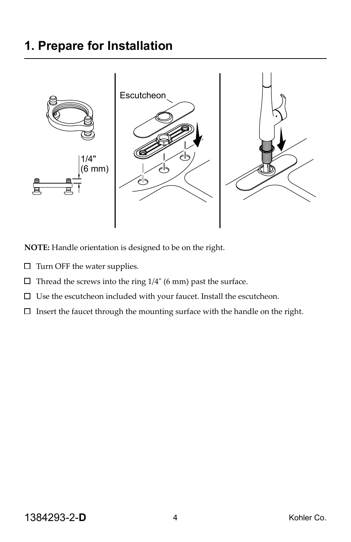### **1. Prepare for Installation**



**NOTE:** Handle orientation is designed to be on the right.

- $\Box$  Turn OFF the water supplies.
- $\square$  Thread the screws into the ring  $1/4$ " (6 mm) past the surface.
- $\square$  Use the escutcheon included with your faucet. Install the escutcheon.
- $\square$  Insert the faucet through the mounting surface with the handle on the right.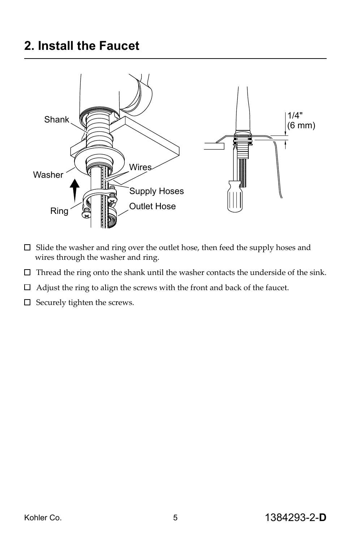### **2. Install the Faucet**



- $\square$  Slide the washer and ring over the outlet hose, then feed the supply hoses and wires through the washer and ring.
- $\Box$  Thread the ring onto the shank until the washer contacts the underside of the sink.
- $\Box$  Adjust the ring to align the screws with the front and back of the faucet.
- $\Box$  Securely tighten the screws.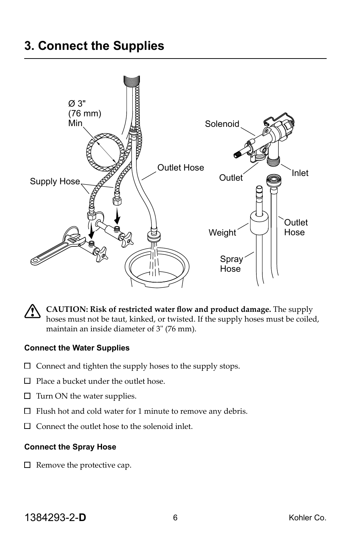### **3. Connect the Supplies**



**CAUTION: Risk of restricted water flow and product damage.** The supply hoses must not be taut, kinked, or twisted. If the supply hoses must be coiled, maintain an inside diameter of 3" (76 mm).

#### **Connect the Water Supplies**

- $\square$  Connect and tighten the supply hoses to the supply stops.
- $\Box$  Place a bucket under the outlet hose.
- $\Box$  Turn ON the water supplies.
- $\Box$  Flush hot and cold water for 1 minute to remove any debris.
- $\Box$  Connect the outlet hose to the solenoid inlet.

#### **Connect the Spray Hose**

 $\Box$  Remove the protective cap.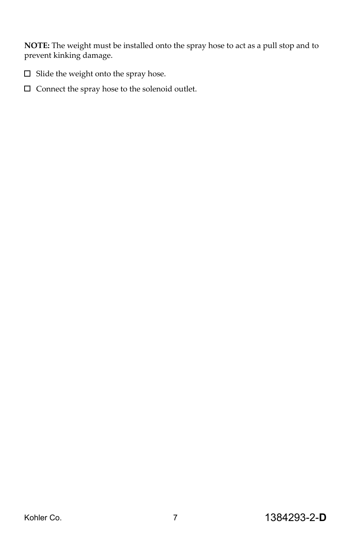**NOTE:** The weight must be installed onto the spray hose to act as a pull stop and to prevent kinking damage.

- $\square$  Slide the weight onto the spray hose.
- $\Box$  Connect the spray hose to the solenoid outlet.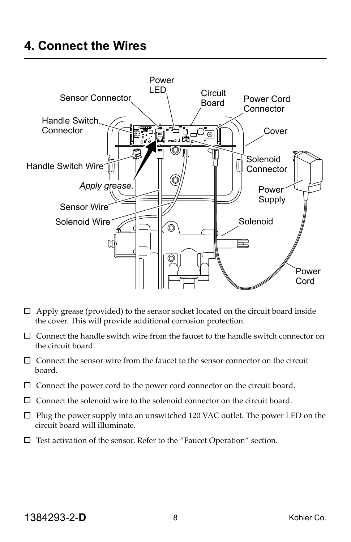### **4. Connect the Wires**



- $\Box$  Apply grease (provided) to the sensor socket located on the circuit board inside the cover. This will provide additional corrosion protection.
- $\square$  Connect the handle switch wire from the faucet to the handle switch connector on the circuit board.
- $\Box$  Connect the sensor wire from the faucet to the sensor connector on the circuit board.
- $\Box$  Connect the power cord to the power cord connector on the circuit board.
- $\Box$  Connect the solenoid wire to the solenoid connector on the circuit board.
- $\square$  Plug the power supply into an unswitched 120 VAC outlet. The power LED on the circuit board will illuminate.
- $\square$  Test activation of the sensor. Refer to the "Faucet Operation" section.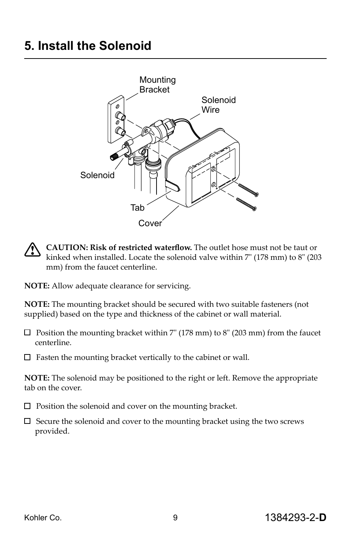

**CAUTION: Risk of restricted waterflow.** The outlet hose must not be taut or kinked when installed. Locate the solenoid valve within 7" (178 mm) to 8" (203 mm) from the faucet centerline.

**NOTE:** Allow adequate clearance for servicing.

**NOTE:** The mounting bracket should be secured with two suitable fasteners (not supplied) based on the type and thickness of the cabinet or wall material.

- $\square$  Position the mounting bracket within 7" (178 mm) to 8" (203 mm) from the faucet centerline.
- $\square$  Fasten the mounting bracket vertically to the cabinet or wall.

**NOTE:** The solenoid may be positioned to the right or left. Remove the appropriate tab on the cover.

- $\square$  Position the solenoid and cover on the mounting bracket.
- $\square$  Secure the solenoid and cover to the mounting bracket using the two screws provided.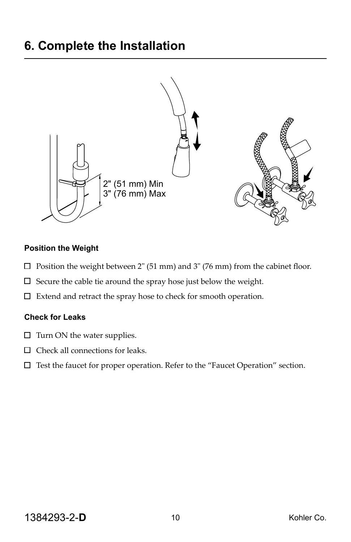### **6. Complete the Installation**



#### **Position the Weight**

- $\square$  Position the weight between 2" (51 mm) and 3" (76 mm) from the cabinet floor.
- $\square$  Secure the cable tie around the spray hose just below the weight.
- $\square$  Extend and retract the spray hose to check for smooth operation.

#### **Check for Leaks**

- $\Box$  Turn ON the water supplies.
- $\Box$  Check all connections for leaks.
- Test the faucet for proper operation. Refer to the "Faucet Operation" section.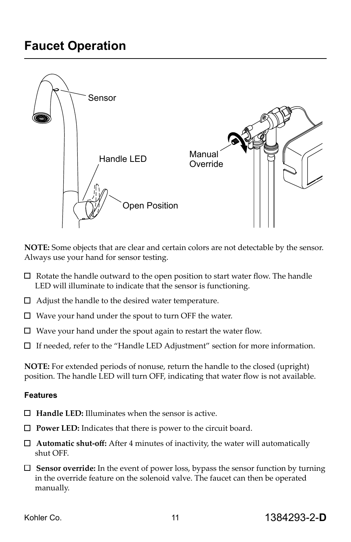

**NOTE:** Some objects that are clear and certain colors are not detectable by the sensor. Always use your hand for sensor testing.

- $\Box$  Rotate the handle outward to the open position to start water flow. The handle LED will illuminate to indicate that the sensor is functioning.
- $\Box$  Adjust the handle to the desired water temperature.
- $\Box$  Wave your hand under the spout to turn OFF the water.
- $\Box$  Wave your hand under the spout again to restart the water flow.
- $\Box$  If needed, refer to the "Handle LED Adjustment" section for more information.

**NOTE:** For extended periods of nonuse, return the handle to the closed (upright) position. The handle LED will turn OFF, indicating that water flow is not available.

#### **Features**

- **Handle LED:** Illuminates when the sensor is active.
- **Power LED:** Indicates that there is power to the circuit board.
- $\Box$  **Automatic shut-off:** After 4 minutes of inactivity, the water will automatically shut OFF.
- **Sensor override:** In the event of power loss, bypass the sensor function by turning in the override feature on the solenoid valve. The faucet can then be operated manually.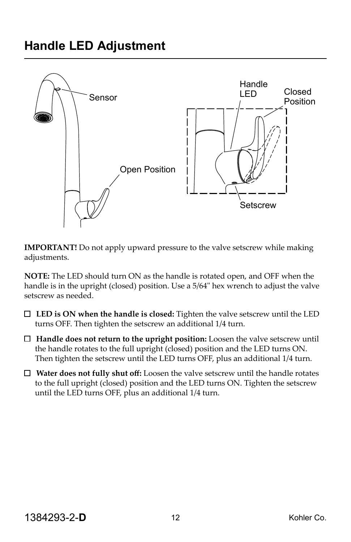

**IMPORTANT!** Do not apply upward pressure to the valve setscrew while making adjustments.

**NOTE:** The LED should turn ON as the handle is rotated open, and OFF when the handle is in the upright (closed) position. Use a 5/64" hex wrench to adjust the valve setscrew as needed.

- **LED is ON when the handle is closed:** Tighten the valve setscrew until the LED turns OFF. Then tighten the setscrew an additional 1/4 turn.
- **Handle does not return to the upright position:** Loosen the valve setscrew until the handle rotates to the full upright (closed) position and the LED turns ON. Then tighten the setscrew until the LED turns OFF, plus an additional 1/4 turn.
- $\Box$  Water does not fully shut off: Loosen the valve setscrew until the handle rotates to the full upright (closed) position and the LED turns ON. Tighten the setscrew until the LED turns OFF, plus an additional 1/4 turn.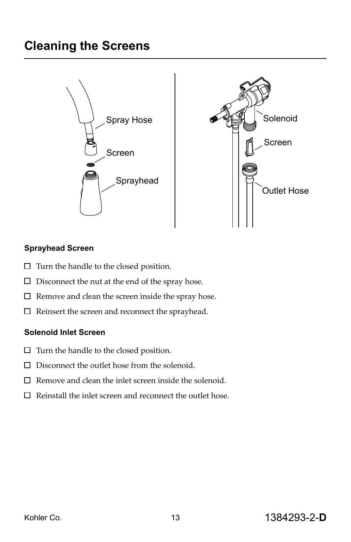### **Cleaning the Screens**



#### **Sprayhead Screen**

- $\Box$  Turn the handle to the closed position.
- $\square$  Disconnect the nut at the end of the spray hose.
- $\square$  Remove and clean the screen inside the spray hose.
- $\square$  Reinsert the screen and reconnect the sprayhead.

#### **Solenoid Inlet Screen**

- $\Box$  Turn the handle to the closed position.
- $\square$  Disconnect the outlet hose from the solenoid.
- $\Box$  Remove and clean the inlet screen inside the solenoid.
- $\Box$  Reinstall the inlet screen and reconnect the outlet hose.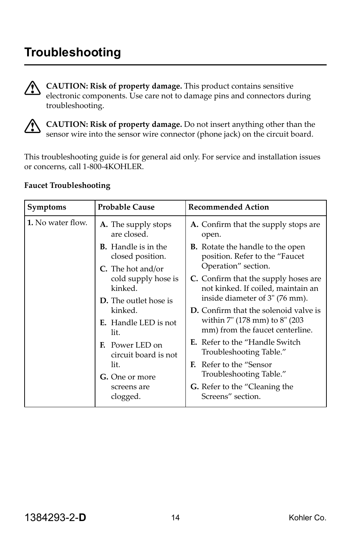### **Troubleshooting**



**CAUTION: Risk of property damage.** This product contains sensitive electronic components. Use care not to damage pins and connectors during troubleshooting.



**CAUTION: Risk of property damage.** Do not insert anything other than the sensor wire into the sensor wire connector (phone jack) on the circuit board.

This troubleshooting guide is for general aid only. For service and installation issues or concerns, call 1-800-4KOHLER.

#### **Faucet Troubleshooting**

| Symptoms          | <b>Probable Cause</b>                                                                                                                                              | <b>Recommended Action</b>                                                                                           |
|-------------------|--------------------------------------------------------------------------------------------------------------------------------------------------------------------|---------------------------------------------------------------------------------------------------------------------|
| 1. No water flow. | <b>A.</b> The supply stops<br>are closed.                                                                                                                          | <b>A.</b> Confirm that the supply stops are<br>open.                                                                |
|                   | <b>B.</b> Handle is in the<br>closed position.<br><b>C.</b> The hot and/or                                                                                         | <b>B.</b> Rotate the handle to the open<br>position. Refer to the "Faucet<br>Operation" section.                    |
|                   | cold supply hose is<br>kinked.<br><b>D.</b> The outlet hose is<br>kinked.<br><b>E.</b> Handle LED is not<br>lit.<br><b>F.</b> Power LED on<br>circuit board is not | <b>C.</b> Confirm that the supply hoses are<br>not kinked. If coiled, maintain an<br>inside diameter of 3" (76 mm). |
|                   |                                                                                                                                                                    | <b>D.</b> Confirm that the solenoid valve is<br>within 7" (178 mm) to 8" (203<br>mm) from the faucet centerline.    |
|                   |                                                                                                                                                                    | <b>E.</b> Refer to the "Handle Switch"<br>Troubleshooting Table."                                                   |
|                   | lit.<br>G. One or more<br>screens are<br>clogged.                                                                                                                  | Refer to the "Sensor<br>E.<br>Troubleshooting Table."<br>G. Refer to the "Cleaning the<br>Screens" section.         |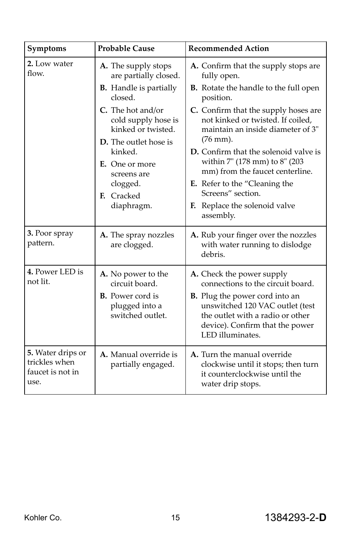| Symptoms                                                              | <b>Probable Cause</b>                                                                                                                                                              | <b>Recommended Action</b>                                                                                                                                                                                                                                                                                                                                     |
|-----------------------------------------------------------------------|------------------------------------------------------------------------------------------------------------------------------------------------------------------------------------|---------------------------------------------------------------------------------------------------------------------------------------------------------------------------------------------------------------------------------------------------------------------------------------------------------------------------------------------------------------|
| 2. Low water<br>flow.                                                 | <b>A.</b> The supply stops<br>are partially closed.<br><b>B.</b> Handle is partially<br>closed.                                                                                    | <b>A.</b> Confirm that the supply stops are<br>fully open.<br>B. Rotate the handle to the full open<br>position.                                                                                                                                                                                                                                              |
|                                                                       | C. The hot and/or<br>cold supply hose is<br>kinked or twisted.<br><b>D.</b> The outlet hose is<br>kinked.<br>E. One or more<br>screens are<br>clogged.<br>F. Cracked<br>diaphragm. | C. Confirm that the supply hoses are<br>not kinked or twisted. If coiled,<br>maintain an inside diameter of 3"<br>$(76 \text{ mm})$ .<br><b>D.</b> Confirm that the solenoid valve is<br>within 7" (178 mm) to 8" (203<br>mm) from the faucet centerline.<br>E. Refer to the "Cleaning the<br>Screens" section.<br>F. Replace the solenoid valve<br>assembly. |
| 3. Poor spray<br>pattern.                                             | <b>A.</b> The spray nozzles<br>are clogged.                                                                                                                                        | A. Rub your finger over the nozzles<br>with water running to dislodge<br>debris.                                                                                                                                                                                                                                                                              |
| 4. Power LED is<br>not lit.                                           | A. No power to the<br>circuit board.<br><b>B.</b> Power cord is<br>plugged into a<br>switched outlet.                                                                              | A. Check the power supply<br>connections to the circuit board.<br><b>B.</b> Plug the power cord into an<br>unswitched 120 VAC outlet (test<br>the outlet with a radio or other<br>device). Confirm that the power<br>LED illuminates.                                                                                                                         |
| <b>5.</b> Water drips or<br>trickles when<br>faucet is not in<br>use. | A. Manual override is<br>partially engaged.                                                                                                                                        | A. Turn the manual override<br>clockwise until it stops; then turn<br>it counterclockwise until the<br>water drip stops.                                                                                                                                                                                                                                      |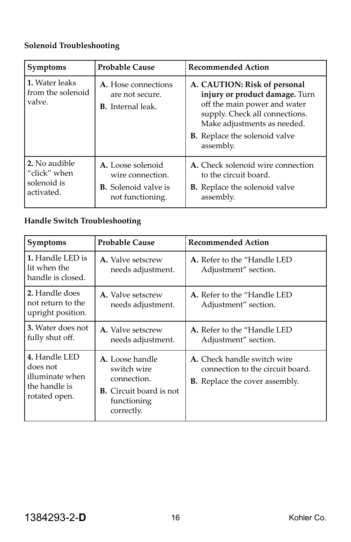#### **Solenoid Troubleshooting**

| <b>Symptoms</b>                                            | <b>Probable Cause</b>                                                                    | <b>Recommended Action</b>                                                                                                                                                                                            |
|------------------------------------------------------------|------------------------------------------------------------------------------------------|----------------------------------------------------------------------------------------------------------------------------------------------------------------------------------------------------------------------|
| 1. Water leaks<br>from the solenoid<br>valve.              | A. Hose connections<br>are not secure.<br><b>B.</b> Internal leak.                       | A. CAUTION: Risk of personal<br>injury or product damage. Turn<br>off the main power and water<br>supply. Check all connections.<br>Make adjustments as needed.<br><b>B.</b> Replace the solenoid valve<br>assembly. |
| 2. No audible<br>"click" when<br>solenoid is<br>activated. | A. Loose solenoid<br>wire connection.<br><b>B.</b> Solenoid valve is<br>not functioning. | A. Check solenoid wire connection<br>to the circuit board.<br><b>B.</b> Replace the solenoid valve<br>assembly.                                                                                                      |

#### **Handle Switch Troubleshooting**

| <b>Symptoms</b>                                                                | <b>Probable Cause</b>                                                                                        | <b>Recommended Action</b>                                                                                       |
|--------------------------------------------------------------------------------|--------------------------------------------------------------------------------------------------------------|-----------------------------------------------------------------------------------------------------------------|
| 1. Handle LED is<br>lit when the<br>handle is closed.                          | A. Valve setscrew<br>needs adjustment.                                                                       | A. Refer to the "Handle LED<br>Adjustment" section.                                                             |
| 2. Handle does<br>not return to the<br>upright position.                       | A. Valve setscrew<br>needs adjustment.                                                                       | <b>A.</b> Refer to the "Handle LED<br>Adjustment" section.                                                      |
| 3. Water does not<br>fully shut off.                                           | A. Valve setscrew<br>needs adjustment.                                                                       | A. Refer to the "Handle LED<br>Adjustment" section.                                                             |
| 4. Handle LED<br>does not<br>illuminate when<br>the handle is<br>rotated open. | A. Loose handle<br>switch wire<br>connection.<br><b>B.</b> Circuit board is not<br>functioning<br>correctly. | <b>A.</b> Check handle switch wire<br>connection to the circuit board.<br><b>B.</b> Replace the cover assembly. |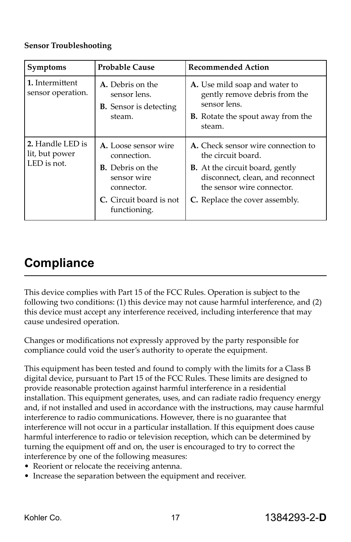#### **Sensor Troubleshooting**

| <b>Symptoms</b>                                   | <b>Probable Cause</b>                                                                                                                  | <b>Recommended Action</b>                                                                                                                                                                              |
|---------------------------------------------------|----------------------------------------------------------------------------------------------------------------------------------------|--------------------------------------------------------------------------------------------------------------------------------------------------------------------------------------------------------|
| 1. Intermittent<br>sensor operation.              | A. Debris on the<br>sensor lens.<br><b>B.</b> Sensor is detecting<br>steam.                                                            | A. Use mild soap and water to<br>gently remove debris from the<br>sensor lens.<br><b>B.</b> Rotate the spout away from the<br>steam.                                                                   |
| 2. Handle LED is<br>lit, but power<br>LED is not. | A. Loose sensor wire<br>connection.<br><b>B.</b> Debris on the<br>sensor wire<br>connector.<br>C. Circuit board is not<br>functioning. | A. Check sensor wire connection to<br>the circuit board.<br><b>B.</b> At the circuit board, gently<br>disconnect, clean, and reconnect<br>the sensor wire connector.<br>C. Replace the cover assembly. |

## **Compliance**

This device complies with Part 15 of the FCC Rules. Operation is subject to the following two conditions: (1) this device may not cause harmful interference, and (2) this device must accept any interference received, including interference that may cause undesired operation.

Changes or modifications not expressly approved by the party responsible for compliance could void the user's authority to operate the equipment.

This equipment has been tested and found to comply with the limits for a Class B digital device, pursuant to Part 15 of the FCC Rules. These limits are designed to provide reasonable protection against harmful interference in a residential installation. This equipment generates, uses, and can radiate radio frequency energy and, if not installed and used in accordance with the instructions, may cause harmful interference to radio communications. However, there is no guarantee that interference will not occur in a particular installation. If this equipment does cause harmful interference to radio or television reception, which can be determined by turning the equipment off and on, the user is encouraged to try to correct the interference by one of the following measures:

- Reorient or relocate the receiving antenna.
- Increase the separation between the equipment and receiver.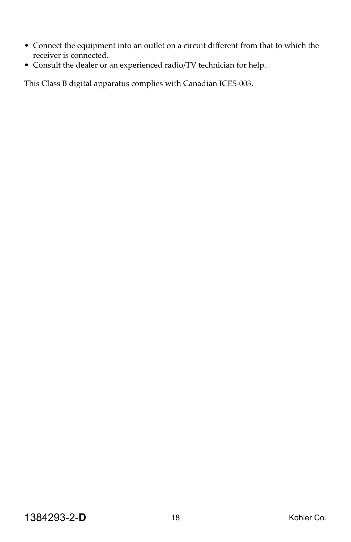- Connect the equipment into an outlet on a circuit different from that to which the receiver is connected.
- Consult the dealer or an experienced radio/TV technician for help.

This Class B digital apparatus complies with Canadian ICES-003.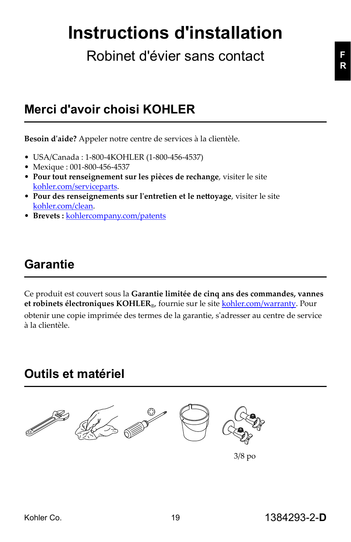# <span id="page-18-0"></span>**Instructions d'installation**

Robinet d'évier sans contact

## **Merci d'avoir choisi KOHLER**

**Besoin d'aide?** Appeler notre centre de services à la clientèle.

- USA/Canada : 1-800-4KOHLER (1-800-456-4537)
- Mexique : 001-800-456-4537
- **Pour tout renseignement sur les pièces de rechange**, visiter le site [kohler.com/serviceparts](http://kohler.com/serviceparts).
- Pour des renseignements sur l'entretien et le nettoyage, visiter le site [kohler.com/clean](http://kohler.com/clean).
- **Brevets :** [kohlercompany.com/patents](https://www.kohlercompany.com/patents)

### **Garantie**

Ce produit est couvert sous la **Garantie limitée de cinq ans des commandes, vannes et robinets électroniques KOHLER®**, fournie sur le site [kohler.com/warranty.](http://kohler.com/warranty) Pour obtenir une copie imprimée des termes de la garantie, s'adresser au centre de service à la clientèle.

### **Outils et matériel**



3/8 po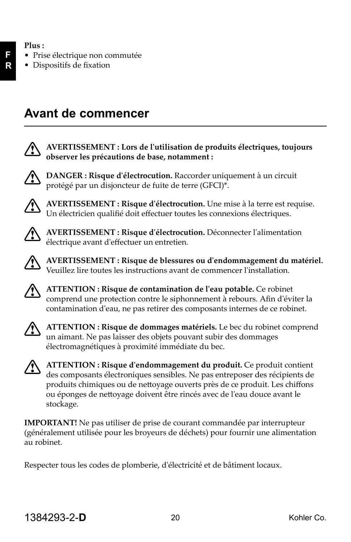#### **Plus :**

- Prise électrique non commutée
- Dispositifs de fixation

### **Avant de commencer**



**AVERTISSEMENT : Lors de l'utilisation de produits électriques, toujours observer les précautions de base, notamment :**



**DANGER : Risque d'électrocution.** Raccorder uniquement à un circuit protégé par un disjoncteur de fuite de terre (GFCI)\*.



**AVERTISSEMENT : Risque d'électrocution.** Une mise à la terre est requise. Un électricien qualifié doit effectuer toutes les connexions électriques.



**AVERTISSEMENT : Risque d'électrocution.** Déconnecter l'alimentation électrique avant d'effectuer un entretien.



**AVERTISSEMENT : Risque de blessures ou d'endommagement du matériel.** Veuillez lire toutes les instructions avant de commencer l'installation.





**ATTENTION : Risque de dommages matériels.** Le bec du robinet comprend un aimant. Ne pas laisser des objets pouvant subir des dommages électromagnétiques à proximité immédiate du bec.

**ATTENTION : Risque d'endommagement du produit.** Ce produit contient des composants électroniques sensibles. Ne pas entreposer des récipients de produits chimiques ou de nettoyage ouverts près de ce produit. Les chiffons ou éponges de nettoyage doivent être rincés avec de l'eau douce avant le stockage.

**IMPORTANT!** Ne pas utiliser de prise de courant commandée par interrupteur (généralement utilisée pour les broyeurs de déchets) pour fournir une alimentation au robinet.

Respecter tous les codes de plomberie, d'électricité et de bâtiment locaux.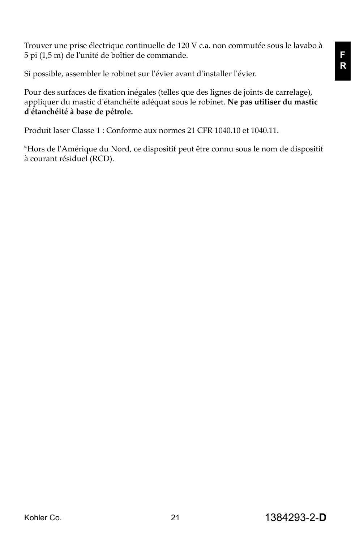Trouver une prise électrique continuelle de 120 V c.a. non commutée sous le lavabo à 5 pi (1,5 m) de l'unité de boîtier de commande.

Si possible, assembler le robinet sur l'évier avant d'installer l'évier.

Pour des surfaces de fixation inégales (telles que des lignes de joints de carrelage), appliquer du mastic d'étanchéité adéquat sous le robinet. **Ne pas utiliser du mastic d'étanchéité à base de pétrole.**

Produit laser Classe 1 : Conforme aux normes 21 CFR 1040.10 et 1040.11.

\*Hors de l'Amérique du Nord, ce dispositif peut être connu sous le nom de dispositif à courant résiduel (RCD).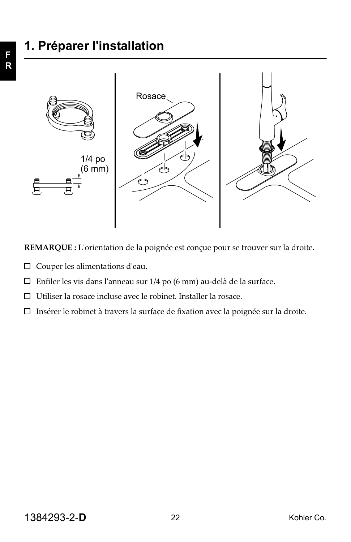### **1. Préparer l'installation**



**REMARQUE :** L'orientation de la poignée est conçue pour se trouver sur la droite.

- Couper les alimentations d'eau.
- $\square$  Enfiler les vis dans l'anneau sur 1/4 po (6 mm) au-delà de la surface.
- $\square$  Utiliser la rosace incluse avec le robinet. Installer la rosace.
- $\Box$  Insérer le robinet à travers la surface de fixation avec la poignée sur la droite.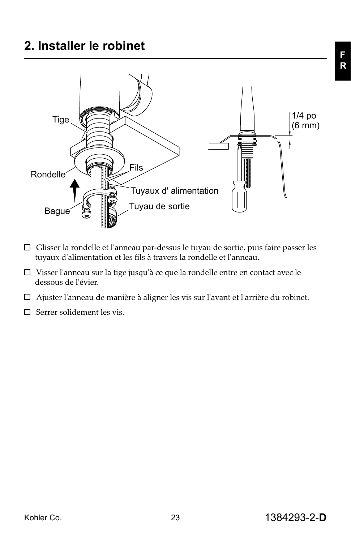### **2. Installer le robinet**



- Glisser la rondelle et l'anneau par-dessus le tuyau de sortie, puis faire passer les tuyaux d'alimentation et les fils à travers la rondelle et l'anneau.
- Visser l'anneau sur la tige jusqu'à ce que la rondelle entre en contact avec le dessous de l'évier.
- Ajuster l'anneau de manière à aligner les vis sur l'avant et l'arrière du robinet.
- $\Box$  Serrer solidement les vis.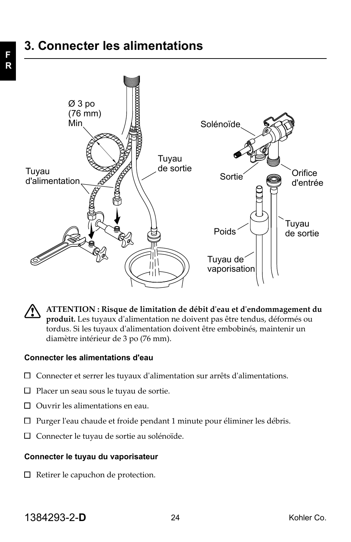### **3. Connecter les alimentations**



**ATTENTION : Risque de limitation de débit d'eau et d'endommagement du produit.** Les tuyaux d'alimentation ne doivent pas être tendus, déformés ou tordus. Si les tuyaux d'alimentation doivent être embobinés, maintenir un diamètre intérieur de 3 po (76 mm).

#### **Connecter les alimentations d'eau**

- $\square$  Connecter et serrer les tuyaux d'alimentation sur arrêts d'alimentations.
- Placer un seau sous le tuyau de sortie.
- $\Box$  Ouvrir les alimentations en eau.
- $\square$  Purger l'eau chaude et froide pendant 1 minute pour éliminer les débris.
- Connecter le tuyau de sortie au solénoïde.

#### **Connecter le tuyau du vaporisateur**

 $\Box$  Retirer le capuchon de protection.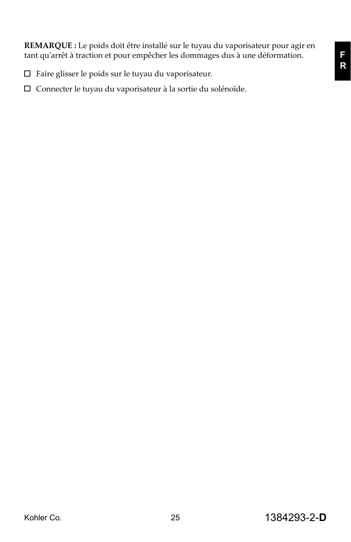**REMARQUE :** Le poids doit être installé sur le tuyau du vaporisateur pour agir en tant qu'arrêt à traction et pour empêcher les dommages dus à une déformation.

Faire glisser le poids sur le tuyau du vaporisateur.

Connecter le tuyau du vaporisateur à la sortie du solénoïde.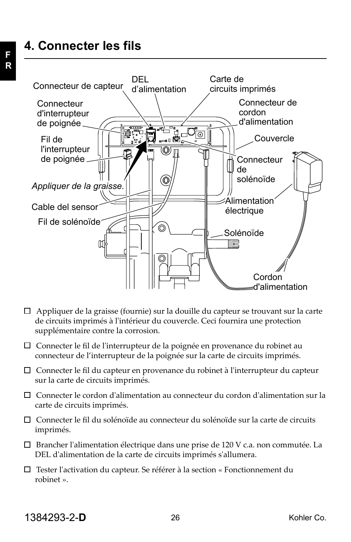### **4. Connecter les fils**



- $\Box$  Appliquer de la graisse (fournie) sur la douille du capteur se trouvant sur la carte de circuits imprimés à l'intérieur du couvercle. Ceci fournira une protection supplémentaire contre la corrosion.
- Connecter le fil de l'interrupteur de la poignée en provenance du robinet au connecteur de l'interrupteur de la poignée sur la carte de circuits imprimés.
- Connecter le fil du capteur en provenance du robinet à l'interrupteur du capteur sur la carte de circuits imprimés.
- Connecter le cordon d'alimentation au connecteur du cordon d'alimentation sur la carte de circuits imprimés.
- Connecter le fil du solénoïde au connecteur du solénoïde sur la carte de circuits imprimés.
- $\square$  Brancher l'alimentation électrique dans une prise de 120 V c.a. non commutée. La DEL d'alimentation de la carte de circuits imprimés s'allumera.
- □ Tester l'activation du capteur. Se référer à la section « Fonctionnement du robinet ».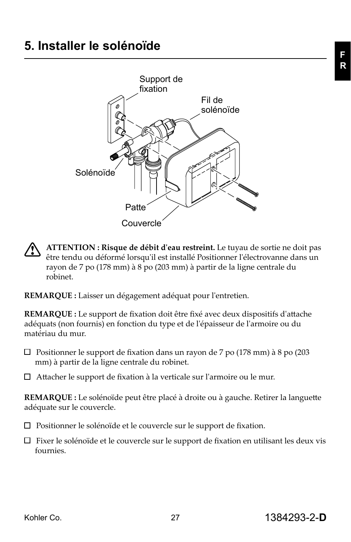

**ATTENTION : Risque de débit d'eau restreint.** Le tuyau de sortie ne doit pas être tendu ou déformé lorsqu'il est installé Positionner l'électrovanne dans un rayon de 7 po (178 mm) à 8 po (203 mm) à partir de la ligne centrale du robinet.

**REMARQUE :** Laisser un dégagement adéquat pour l'entretien.

**REMARQUE :** Le support de fixation doit être fixé avec deux dispositifs d'attache adéquats (non fournis) en fonction du type et de l'épaisseur de l'armoire ou du matériau du mur.

- $\Box$  Positionner le support de fixation dans un rayon de 7 po (178 mm) à 8 po (203 mm) à partir de la ligne centrale du robinet.
- $\Box$  Attacher le support de fixation à la verticale sur l'armoire ou le mur.

REMARQUE : Le solénoïde peut être placé à droite ou à gauche. Retirer la languette adéquate sur le couvercle.

- □ Positionner le solénoïde et le couvercle sur le support de fixation.
- $\Box$  Fixer le solénoïde et le couvercle sur le support de fixation en utilisant les deux vis fournies.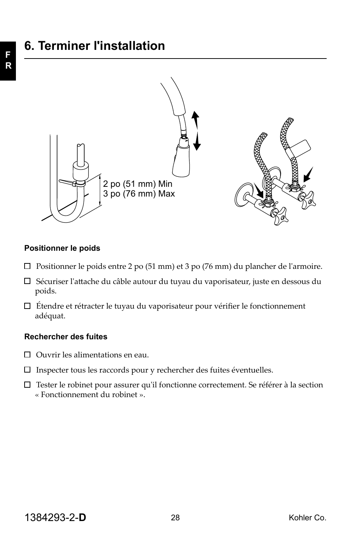### **6. Terminer l'installation**





#### **Positionner le poids**

- $\square$  Positionner le poids entre 2 po (51 mm) et 3 po (76 mm) du plancher de l'armoire.
- □ Sécuriser l'attache du câble autour du tuyau du vaporisateur, juste en dessous du poids.
- $\square$  Étendre et rétracter le tuyau du vaporisateur pour vérifier le fonctionnement adéquat.

#### **Rechercher des fuites**

- $\Box$  Ouvrir les alimentations en eau.
- $\square$  Inspecter tous les raccords pour y rechercher des fuites éventuelles.

2 po (51 mm) Min 3 po (76 mm) Max

 $\square$  Tester le robinet pour assurer qu'il fonctionne correctement. Se référer à la section « Fonctionnement du robinet ».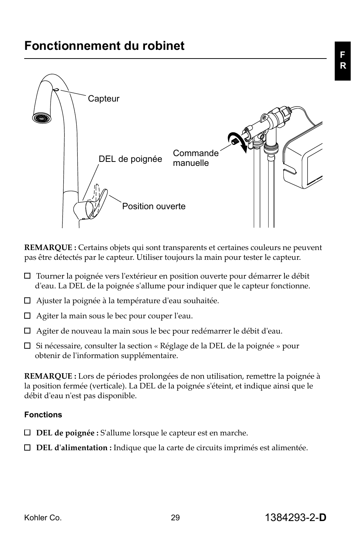

**REMARQUE :** Certains objets qui sont transparents et certaines couleurs ne peuvent pas être détectés par le capteur. Utiliser toujours la main pour tester le capteur.

- Tourner la poignée vers l'extérieur en position ouverte pour démarrer le débit d'eau. La DEL de la poignée s'allume pour indiquer que le capteur fonctionne.
- Ajuster la poignée à la température d'eau souhaitée.
- $\Box$  Agiter la main sous le bec pour couper l'eau.
- Agiter de nouveau la main sous le bec pour redémarrer le débit d'eau.
- Si nécessaire, consulter la section « Réglage de la DEL de la poignée » pour obtenir de l'information supplémentaire.

**REMARQUE :** Lors de périodes prolongées de non utilisation, remettre la poignée à la position fermée (verticale). La DEL de la poignée s'éteint, et indique ainsi que le débit d'eau n'est pas disponible.

#### **Fonctions**

- **DEL de poignée :** S'allume lorsque le capteur est en marche.
- **DEL d'alimentation :** Indique que la carte de circuits imprimés est alimentée.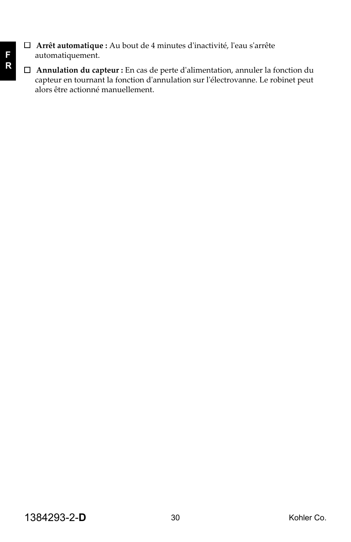- **Arrêt automatique :** Au bout de 4 minutes d'inactivité, l'eau s'arrête automatiquement.
- **Annulation du capteur :** En cas de perte d'alimentation, annuler la fonction du capteur en tournant la fonction d'annulation sur l'électrovanne. Le robinet peut alors être actionné manuellement.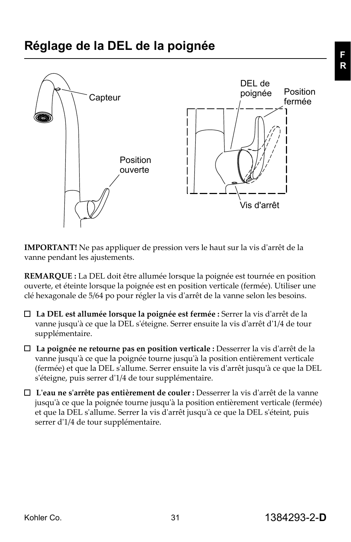

**IMPORTANT!** Ne pas appliquer de pression vers le haut sur la vis d'arrêt de la vanne pendant les ajustements.

**REMARQUE :** La DEL doit être allumée lorsque la poignée est tournée en position ouverte, et éteinte lorsque la poignée est en position verticale (fermée). Utiliser une clé hexagonale de 5/64 po pour régler la vis d'arrêt de la vanne selon les besoins.

- **La DEL est allumée lorsque la poignée est fermée :** Serrer la vis d'arrêt de la vanne jusqu'à ce que la DEL s'éteigne. Serrer ensuite la vis d'arrêt d'1/4 de tour supplémentaire.
- **La poignée ne retourne pas en position verticale :** Desserrer la vis d'arrêt de la vanne jusqu'à ce que la poignée tourne jusqu'à la position entièrement verticale (fermée) et que la DEL s'allume. Serrer ensuite la vis d'arrêt jusqu'à ce que la DEL s'éteigne, puis serrer d'1/4 de tour supplémentaire.
- **L'eau ne s'arrête pas entièrement de couler :** Desserrer la vis d'arrêt de la vanne jusqu'à ce que la poignée tourne jusqu'à la position entièrement verticale (fermée) et que la DEL s'allume. Serrer la vis d'arrêt jusqu'à ce que la DEL s'éteint, puis serrer d'1/4 de tour supplémentaire.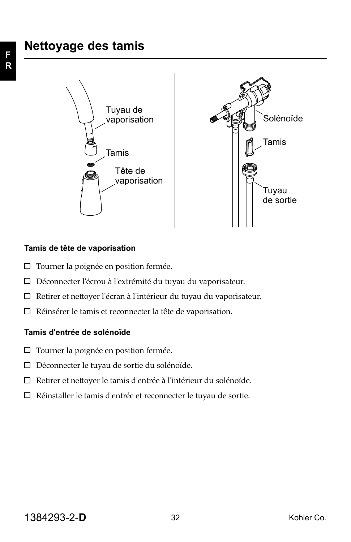### **Nettoyage des tamis**



#### **Tamis de tête de vaporisation**

- Tourner la poignée en position fermée.
- Déconnecter l'écrou à l'extrémité du tuyau du vaporisateur.
- $\Box$  Retirer et nettoyer l'écran à l'intérieur du tuyau du vaporisateur.
- Réinsérer le tamis et reconnecter la tête de vaporisation.

#### **Tamis d'entrée de solénoïde**

- $\Box$ Tourner la poignée en position fermée.
- Déconnecter le tuyau de sortie du solénoïde. □
- $\Box$  Retirer et nettoyer le tamis d'entrée à l'intérieur du solénoïde.
- Réinstaller le tamis d'entrée et reconnecter le tuyau de sortie.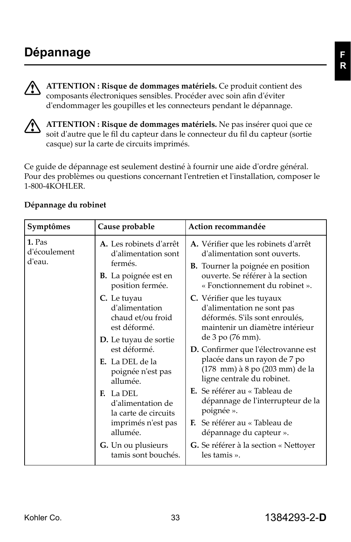## **Dépannage**



**ATTENTION : Risque de dommages matériels.** Ce produit contient des composants électroniques sensibles. Procéder avec soin afin d'éviter d'endommager les goupilles et les connecteurs pendant le dépannage.



**ATTENTION : Risque de dommages matériels.** Ne pas insérer quoi que ce soit d'autre que le fil du capteur dans le connecteur du fil du capteur (sortie casque) sur la carte de circuits imprimés.

Ce guide de dépannage est seulement destiné à fournir une aide d'ordre général. Pour des problèmes ou questions concernant l'entretien et l'installation, composer le 1-800-4KOHLER.

| Symptômes                          | Cause probable                                                                                                                                                                                                                                                                         | Action recommandée                                                                                                                                                                                                                                                                                                                                                                                                                                                                                           |
|------------------------------------|----------------------------------------------------------------------------------------------------------------------------------------------------------------------------------------------------------------------------------------------------------------------------------------|--------------------------------------------------------------------------------------------------------------------------------------------------------------------------------------------------------------------------------------------------------------------------------------------------------------------------------------------------------------------------------------------------------------------------------------------------------------------------------------------------------------|
| $1.$ Pas<br>d'écoulement<br>d'eau. | A. Les robinets d'arrêt<br>d'alimentation sont<br>fermés.<br><b>B.</b> La poignée est en<br>position fermée.<br>C. Le tuyau<br>d'alimentation<br>chaud et/ou froid<br>est déformé.<br><b>D.</b> Le tuyau de sortie<br>est déformé.<br>E. La DEL de la<br>poignée n'est pas<br>allumée. | A. Vérifier que les robinets d'arrêt<br>d'alimentation sont ouverts.<br>B. Tourner la poignée en position<br>ouverte. Se référer à la section<br>« Fonctionnement du robinet ».<br>C. Vérifier que les tuyaux<br>d'alimentation ne sont pas<br>déformés. S'ils sont enroulés,<br>maintenir un diamètre intérieur<br>de 3 po (76 mm).<br>D. Confirmer que l'électrovanne est<br>placée dans un rayon de 7 po<br>(178 mm) à 8 po (203 mm) de la<br>ligne centrale du robinet.<br>E. Se référer au « Tableau de |
|                                    | <b>F.</b> La DEL<br>d'alimentation de<br>la carte de circuits<br>imprimés n'est pas                                                                                                                                                                                                    | dépannage de l'interrupteur de la<br>poignée ».<br>F. Se référer au « Tableau de                                                                                                                                                                                                                                                                                                                                                                                                                             |
|                                    | allumée.                                                                                                                                                                                                                                                                               | dépannage du capteur ».                                                                                                                                                                                                                                                                                                                                                                                                                                                                                      |
|                                    | G. Un ou plusieurs<br>tamis sont bouchés.                                                                                                                                                                                                                                              | <b>G.</b> Se référer à la section « Nettoyer<br>$les \, \text{tamis} \, \text{M}$ .                                                                                                                                                                                                                                                                                                                                                                                                                          |

#### **Dépannage du robinet**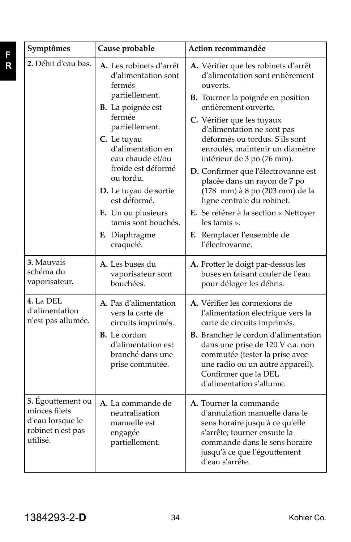| Symptômes                                                                               | Cause probable                                                                                                                                                                                                                                                                                                                                    | Action recommandée                                                                                                                                                                                                                                                                                                                                                                                                                                                                                                                                               |
|-----------------------------------------------------------------------------------------|---------------------------------------------------------------------------------------------------------------------------------------------------------------------------------------------------------------------------------------------------------------------------------------------------------------------------------------------------|------------------------------------------------------------------------------------------------------------------------------------------------------------------------------------------------------------------------------------------------------------------------------------------------------------------------------------------------------------------------------------------------------------------------------------------------------------------------------------------------------------------------------------------------------------------|
| 2. Débit d'eau bas.                                                                     | A. Les robinets d'arrêt<br>d'alimentation sont<br>fermés<br>partiellement.<br><b>B.</b> La poignée est<br>fermée<br>partiellement.<br>C. Le tuyau<br>d'alimentation en<br>eau chaude et/ou<br>froide est déformé<br>ou tordu.<br>D. Le tuyau de sortie<br>est déformé.<br>E. Un ou plusieurs<br>tamis sont bouchés.<br>F. Diaphragme<br>craquelé. | A. Vérifier que les robinets d'arrêt<br>d'alimentation sont entièrement<br>ouverts.<br>B. Tourner la poignée en position<br>entièrement ouverte.<br>C. Vérifier que les tuyaux<br>d'alimentation ne sont pas<br>déformés ou tordus. S'ils sont<br>enroulés, maintenir un diamètre<br>intérieur de 3 po (76 mm).<br>D. Confirmer que l'électrovanne est<br>placée dans un rayon de 7 po<br>(178 mm) à 8 po (203 mm) de la<br>ligne centrale du robinet.<br>E. Se référer à la section « Nettoyer<br>les tamis ».<br>F. Remplacer l'ensemble de<br>l'électrovanne. |
| 3. Mauvais<br>schéma du<br>vaporisateur.                                                | A. Les buses du<br>vaporisateur sont<br>bouchées.                                                                                                                                                                                                                                                                                                 | A. Frotter le doigt par-dessus les<br>buses en faisant couler de l'eau<br>pour déloger les débris.                                                                                                                                                                                                                                                                                                                                                                                                                                                               |
| 4. La DEL<br>d'alimentation<br>n'est pas allumée.                                       | A. Pas d'alimentation<br>vers la carte de<br>circuits imprimés.<br><b>B.</b> Le cordon<br>d'alimentation est<br>branché dans une<br>prise commutée.                                                                                                                                                                                               | A. Vérifier les connexions de<br>l'alimentation électrique vers la<br>carte de circuits imprimés.<br>B. Brancher le cordon d'alimentation<br>dans une prise de 120 V c.a. non<br>commutée (tester la prise avec<br>une radio ou un autre appareil).<br>Confirmer que la DEL<br>d'alimentation s'allume.                                                                                                                                                                                                                                                          |
| 5. Égouttement ou<br>minces filets<br>d'eau lorsque le<br>robinet n'est pas<br>utilisé. | A. La commande de<br>neutralisation<br>manuelle est<br>engagée<br>partiellement.                                                                                                                                                                                                                                                                  | A. Tourner la commande<br>d'annulation manuelle dans le<br>sens horaire jusqu'à ce qu'elle<br>s'arrête; tourner ensuite la<br>commande dans le sens horaire<br>jusqu'à ce que l'égouttement<br>d'eau s'arrête.                                                                                                                                                                                                                                                                                                                                                   |

**F R**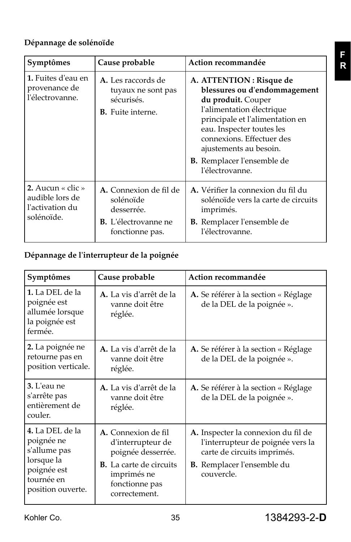### **Dépannage de solénoïde**

| Symptômes                                                             | Cause probable                                                                                      | Action recommandée                                                                                                                                                                                                                                                                         |
|-----------------------------------------------------------------------|-----------------------------------------------------------------------------------------------------|--------------------------------------------------------------------------------------------------------------------------------------------------------------------------------------------------------------------------------------------------------------------------------------------|
| 1. Fuites d'eau en<br>provenance de<br>l'électrovanne.                | A. Les raccords de<br>tuyaux ne sont pas<br>sécurisés.<br><b>B.</b> Fuite interne.                  | A. ATTENTION : Risque de<br>blessures ou d'endommagement<br>du produit. Couper<br>l'alimentation électrique<br>principale et l'alimentation en<br>eau. Inspecter toutes les<br>connexions. Effectuer des<br>ajustements au besoin.<br><b>B.</b> Remplacer l'ensemble de<br>l'électrovanne. |
| 2. Aucun « clic »<br>audible lors de<br>l'activation du<br>solénoïde. | A. Connexion de fil de<br>solénoïde<br>desserrée.<br><b>B.</b> L'électrovanne ne<br>fonctionne pas. | A. Vérifier la connexion du fil du<br>solénoïde vers la carte de circuits<br>imprimés.<br><b>B.</b> Remplacer l'ensemble de<br>l'électrovanne.                                                                                                                                             |

### **Dépannage de l'interrupteur de la poignée**

| Symptômes                                                                                                     | Cause probable                                                                                                                              | Action recommandée                                                                                                                                         |
|---------------------------------------------------------------------------------------------------------------|---------------------------------------------------------------------------------------------------------------------------------------------|------------------------------------------------------------------------------------------------------------------------------------------------------------|
| 1. La DEL de la<br>poignée est<br>allumée lorsque<br>la poignée est<br>fermée.                                | <b>A.</b> La vis d'arrêt de la<br>vanne doit être<br>réglée.                                                                                | <b>A.</b> Se référer à la section « Réglage<br>de la DEL de la poignée ».                                                                                  |
| 2. La poignée ne<br>retourne pas en<br>position verticale.                                                    | A. La vis d'arrêt de la<br>vanne doit être<br>réglée.                                                                                       | <b>A.</b> Se référer à la section « Réglage<br>de la DEL de la poignée ».                                                                                  |
| 3. L'eau ne<br>s'arrête pas<br>entièrement de<br>couler.                                                      | A. La vis d'arrêt de la<br>vanne doit être<br>réglée.                                                                                       | <b>A.</b> Se référer à la section « Réglage<br>de la DEL de la poignée ».                                                                                  |
| 4. La DEL de la<br>poignée ne<br>s'allume pas<br>lorsque la<br>poignée est<br>tournée en<br>position ouverte. | A. Connexion de fil<br>d'interrupteur de<br>poignée desserrée.<br>B. La carte de circuits<br>imprimés ne<br>fonctionne pas<br>correctement. | A. Inspecter la connexion du fil de<br>l'interrupteur de poignée vers la<br>carte de circuits imprimés.<br><b>B.</b> Remplacer l'ensemble du<br>couvercle. |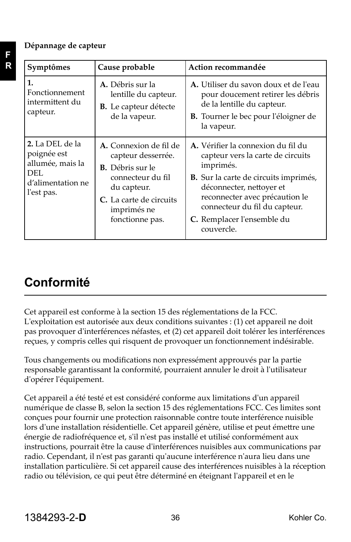#### **Dépannage de capteur**

| Symptômes                                                                                    | Cause probable                                                                                                                                                           | Action recommandée                                                                                                                                                                                                                                                              |
|----------------------------------------------------------------------------------------------|--------------------------------------------------------------------------------------------------------------------------------------------------------------------------|---------------------------------------------------------------------------------------------------------------------------------------------------------------------------------------------------------------------------------------------------------------------------------|
| 1.<br>Fonctionnement<br>intermittent du<br>capteur.                                          | <b>A.</b> Débris sur la<br>lentille du capteur.<br><b>B.</b> Le capteur détecte<br>de la vapeur.                                                                         | A. Utiliser du savon doux et de l'eau<br>pour doucement retirer les débris<br>de la lentille du capteur.<br><b>B.</b> Tourner le bec pour l'éloigner de<br>la vapeur.                                                                                                           |
| 2. La DEL de la<br>poignée est<br>allumée, mais la<br>DEL<br>d'alimentation ne<br>l'est pas. | A. Connexion de fil de<br>capteur desserrée.<br><b>B.</b> Débris sur le<br>connecteur du fil<br>du capteur.<br>C. La carte de circuits<br>imprimés ne<br>fonctionne pas. | A. Vérifier la connexion du fil du<br>capteur vers la carte de circuits<br>imprimés.<br><b>B.</b> Sur la carte de circuits imprimés,<br>déconnecter, nettoyer et<br>reconnecter avec précaution le<br>connecteur du fil du capteur.<br>C. Remplacer l'ensemble du<br>couvercle. |

## **Conformité**

Cet appareil est conforme à la section 15 des réglementations de la FCC. L'exploitation est autorisée aux deux conditions suivantes : (1) cet appareil ne doit pas provoquer d'interférences néfastes, et (2) cet appareil doit tolérer les interférences reçues, y compris celles qui risquent de provoquer un fonctionnement indésirable.

Tous changements ou modifications non expressément approuvés par la partie responsable garantissant la conformité, pourraient annuler le droit à l'utilisateur d'opérer l'équipement.

Cet appareil a été testé et est considéré conforme aux limitations d'un appareil numérique de classe B, selon la section 15 des réglementations FCC. Ces limites sont conçues pour fournir une protection raisonnable contre toute interférence nuisible lors d'une installation résidentielle. Cet appareil génère, utilise et peut émettre une énergie de radiofréquence et, s'il n'est pas installé et utilisé conformément aux instructions, pourrait être la cause d'interférences nuisibles aux communications par radio. Cependant, il n'est pas garanti qu'aucune interférence n'aura lieu dans une installation particulière. Si cet appareil cause des interférences nuisibles à la réception radio ou télévision, ce qui peut être déterminé en éteignant l'appareil et en le

1384293-2-**D** 36 Kohler Co.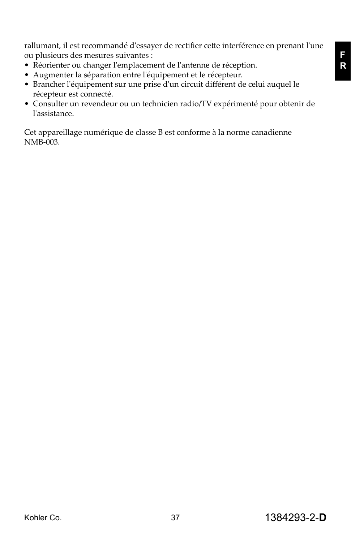rallumant, il est recommandé d'essayer de rectifier cette interférence en prenant l'une ou plusieurs des mesures suivantes :

- Réorienter ou changer l'emplacement de l'antenne de réception.
- Augmenter la séparation entre l'équipement et le récepteur.
- Brancher l'équipement sur une prise d'un circuit différent de celui auquel le récepteur est connecté.
- Consulter un revendeur ou un technicien radio/TV expérimenté pour obtenir de l'assistance.

Cet appareillage numérique de classe B est conforme à la norme canadienne NMB-003.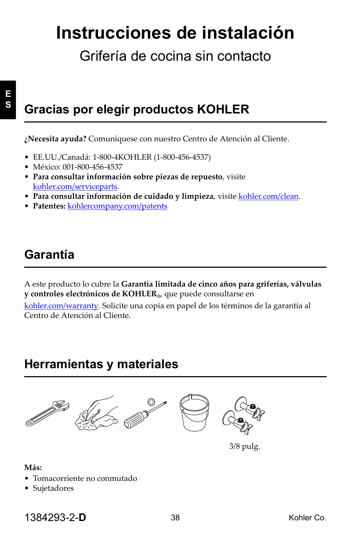# <span id="page-37-0"></span>**Instrucciones de instalación**

Grifería de cocina sin contacto

# **Gracias por elegir productos KOHLER**

**¿Necesita ayuda?** Comuníquese con nuestro Centro de Atención al Cliente.

- EE.UU./Canadá: 1-800-4KOHLER (1-800-456-4537)
- México: 001-800-456-4537
- **Para consultar información sobre piezas de repuesto**, visite [kohler.com/serviceparts](http://kohler.com/serviceparts).
- **Para consultar información de cuidado y limpieza**, visite [kohler.com/clean](http://kohler.com/clean).
- **Patentes:** [kohlercompany.com/patents](https://www.kohlercompany.com/patents)

### **Garantía**

A este producto lo cubre la **Garantía limitada de cinco años para griferías, válvulas y controles electrónicos de KOHLER®**, que puede consultarse en

[kohler.com/warranty](http://kohler.com/warranty). Solicite una copia en papel de los términos de la garantía al Centro de Atención al Cliente.

### **Herramientas y materiales**



3/8 pulg.

#### **Más:**

- Tomacorriente no conmutado
- Sujetadores

1384293-2-**D** 38 Kohler Co.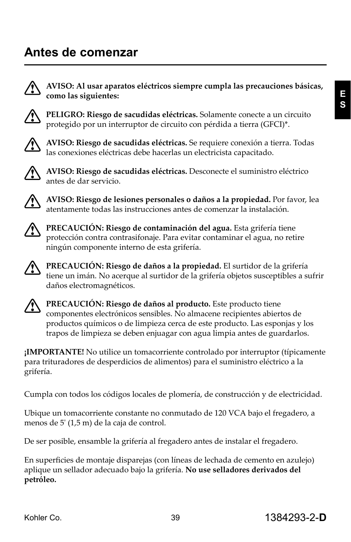### **Antes de comenzar**



**AVISO: Al usar aparatos eléctricos siempre cumpla las precauciones básicas, como las siguientes:**



**PELIGRO: Riesgo de sacudidas eléctricas.** Solamente conecte a un circuito protegido por un interruptor de circuito con pérdida a tierra (GFCI)\*.



**AVISO: Riesgo de sacudidas eléctricas.** Se requiere conexión a tierra. Todas las conexiones eléctricas debe hacerlas un electricista capacitado.



**AVISO: Riesgo de sacudidas eléctricas.** Desconecte el suministro eléctrico antes de dar servicio.



**AVISO: Riesgo de lesiones personales o daños a la propiedad.** Por favor, lea atentamente todas las instrucciones antes de comenzar la instalación.



**PRECAUCIÓN: Riesgo de contaminación del agua.** Esta grifería tiene protección contra contrasifonaje. Para evitar contaminar el agua, no retire ningún componente interno de esta grifería.



**PRECAUCIÓN: Riesgo de daños a la propiedad.** El surtidor de la grifería tiene un imán. No acerque al surtidor de la grifería objetos susceptibles a sufrir daños electromagnéticos.



**PRECAUCIÓN: Riesgo de daños al producto.** Este producto tiene componentes electrónicos sensibles. No almacene recipientes abiertos de productos químicos o de limpieza cerca de este producto. Las esponjas y los trapos de limpieza se deben enjuagar con agua limpia antes de guardarlos.

**¡IMPORTANTE!** No utilice un tomacorriente controlado por interruptor (típicamente para trituradores de desperdicios de alimentos) para el suministro eléctrico a la grifería.

Cumpla con todos los códigos locales de plomería, de construcción y de electricidad.

Ubique un tomacorriente constante no conmutado de 120 VCA bajo el fregadero, a menos de 5' (1,5 m) de la caja de control.

De ser posible, ensamble la grifería al fregadero antes de instalar el fregadero.

En superficies de montaje disparejas (con líneas de lechada de cemento en azulejo) aplique un sellador adecuado bajo la grifería. **No use selladores derivados del petróleo.**

**E S**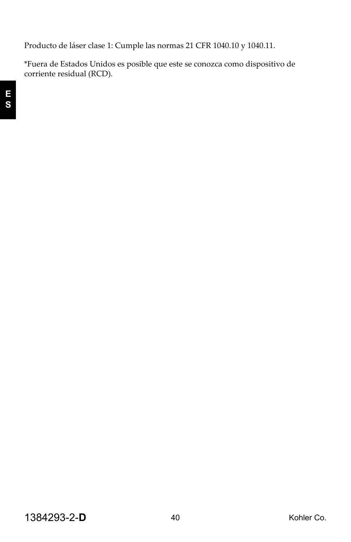Producto de láser clase 1: Cumple las normas 21 CFR 1040.10 y 1040.11.

\*Fuera de Estados Unidos es posible que este se conozca como dispositivo de corriente residual (RCD).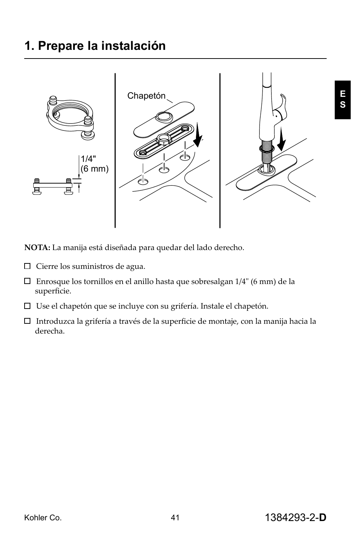### **1. Prepare la instalación**



**NOTA:** La manija está diseñada para quedar del lado derecho.

- Cierre los suministros de agua.
- Enrosque los tornillos en el anillo hasta que sobresalgan 1/4" (6 mm) de la superficie.
- Use el chapetón que se incluye con su grifería. Instale el chapetón.
- Introduzca la grifería a través de la superficie de montaje, con la manija hacia la derecha.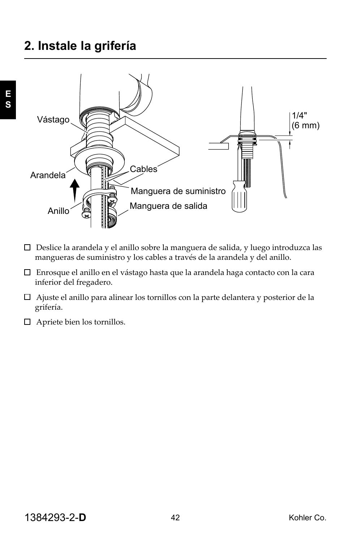### **2. Instale la grifería**



- $\square$  Deslice la arandela y el anillo sobre la manguera de salida, y luego introduzca las mangueras de suministro y los cables a través de la arandela y del anillo.
- Enrosque el anillo en el vástago hasta que la arandela haga contacto con la cara inferior del fregadero.
- $\Box$  Ajuste el anillo para alinear los tornillos con la parte delantera y posterior de la grifería.
- $\Box$  Apriete bien los tornillos.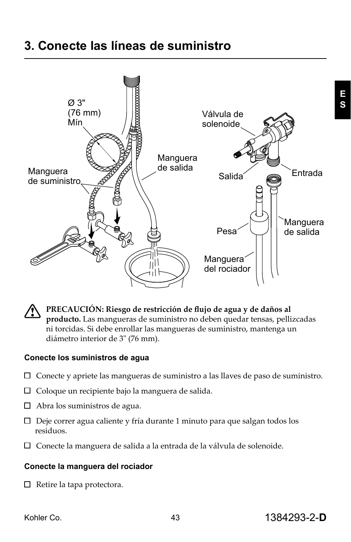### **3. Conecte las líneas de suministro**



PRECAUCIÓN: Riesgo de restricción de flujo de agua y de daños al **producto.** Las mangueras de suministro no deben quedar tensas, pellizcadas ni torcidas. Si debe enrollar las mangueras de suministro, mantenga un diámetro interior de 3" (76 mm).

#### **Conecte los suministros de agua**

- $\square$  Conecte y apriete las mangueras de suministro a las llaves de paso de suministro.
- $\Box$  Coloque un recipiente bajo la manguera de salida.
- $\Box$  Abra los suministros de agua.
- $\square$  Deje correr agua caliente y fría durante 1 minuto para que salgan todos los residuos.
- Conecte la manguera de salida a la entrada de la válvula de solenoide.

#### **Conecte la manguera del rociador**

 $\Box$  Retire la tapa protectora.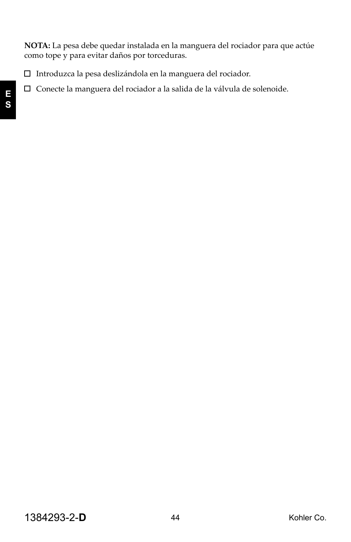**NOTA:** La pesa debe quedar instalada en la manguera del rociador para que actúe como tope y para evitar daños por torceduras.

- Introduzca la pesa deslizándola en la manguera del rociador.
- Conecte la manguera del rociador a la salida de la válvula de solenoide.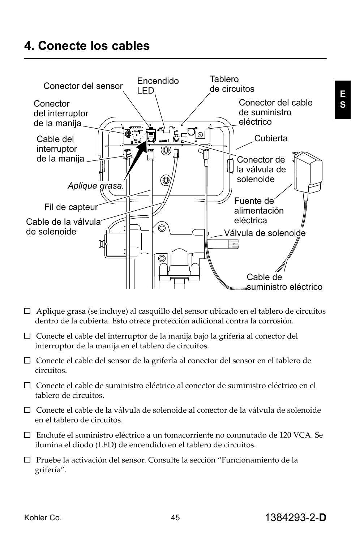### **4. Conecte los cables**



- $\Box$  Aplique grasa (se incluve) al casquillo del sensor ubicado en el tablero de circuitos dentro de la cubierta. Esto ofrece protección adicional contra la corrosión.
- $\square$  Conecte el cable del interruptor de la manija bajo la grifería al conector del interruptor de la manija en el tablero de circuitos.
- Conecte el cable del sensor de la grifería al conector del sensor en el tablero de circuitos.
- Conecte el cable de suministro eléctrico al conector de suministro eléctrico en el tablero de circuitos.
- $\Box$  Conecte el cable de la válvula de solenoide al conector de la válvula de solenoide en el tablero de circuitos.
- $\Box$  Enchufe el suministro eléctrico a un tomacorriente no conmutado de 120 VCA. Se ilumina el diodo (LED) de encendido en el tablero de circuitos.
- Pruebe la activación del sensor. Consulte la sección "Funcionamiento de la grifería".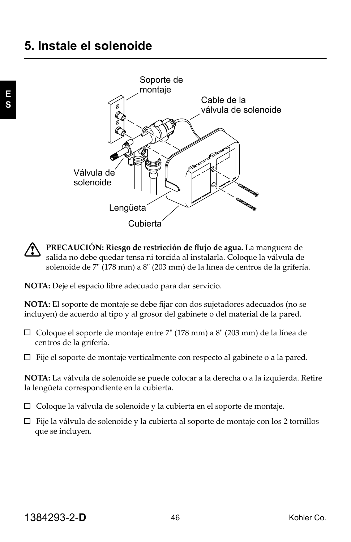



**NOTA:** Deje el espacio libre adecuado para dar servicio.

**NOTA:** El soporte de montaje se debe fijar con dos sujetadores adecuados (no se incluyen) de acuerdo al tipo y al grosor del gabinete o del material de la pared.

- Coloque el soporte de montaje entre 7" (178 mm) a 8" (203 mm) de la línea de centros de la grifería.
- $\Box$  Fije el soporte de montaje verticalmente con respecto al gabinete o a la pared.

**NOTA:** La válvula de solenoide se puede colocar a la derecha o a la izquierda. Retire la lengüeta correspondiente en la cubierta.

- $\Box$  Coloque la válvula de solenoide y la cubierta en el soporte de montaje.
- $\Box$  Fije la válvula de solenoide y la cubierta al soporte de montaje con los 2 tornillos que se incluyen.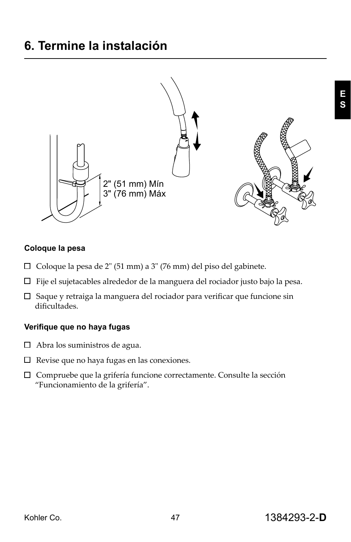### **6. Termine la instalación**



#### **Coloque la pesa**

- Coloque la pesa de 2" (51 mm) a 3" (76 mm) del piso del gabinete.
- Fije el sujetacables alrededor de la manguera del rociador justo bajo la pesa.
- $\square$  Saque y retraiga la manguera del rociador para verificar que funcione sin dificultades.

#### **Verifique que no haya fugas**

- Abra los suministros de agua.
- $\Box$  Revise que no haya fugas en las conexiones.
- Compruebe que la grifería funcione correctamente. Consulte la sección "Funcionamiento de la grifería".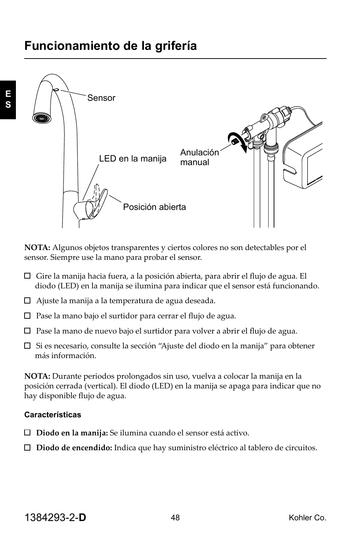

**NOTA:** Algunos objetos transparentes y ciertos colores no son detectables por el sensor. Siempre use la mano para probar el sensor.

- Gire la manija hacia fuera, a la posición abierta, para abrir el flujo de agua. El diodo (LED) en la manija se ilumina para indicar que el sensor está funcionando.
- $\Box$  Ajuste la manija a la temperatura de agua deseada.
- $\square$  Pase la mano bajo el surtidor para cerrar el flujo de agua.
- $\Box$  Pase la mano de nuevo bajo el surtidor para volver a abrir el flujo de agua.
- Si es necesario, consulte la sección "Ajuste del diodo en la manija" para obtener más información.

**NOTA:** Durante periodos prolongados sin uso, vuelva a colocar la manija en la posición cerrada (vertical). El diodo (LED) en la manija se apaga para indicar que no hay disponible flujo de agua.

#### **Características**

- **Diodo en la manija:** Se ilumina cuando el sensor está activo.
- **Diodo de encendido:** Indica que hay suministro eléctrico al tablero de circuitos.

**E S**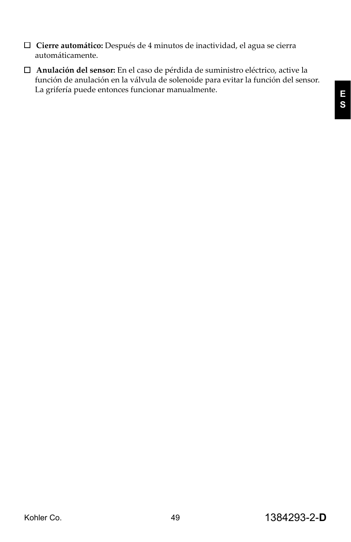- **Cierre automático:** Después de 4 minutos de inactividad, el agua se cierra automáticamente.
- **Anulación del sensor:** En el caso de pérdida de suministro eléctrico, active la función de anulación en la válvula de solenoide para evitar la función del sensor. La grifería puede entonces funcionar manualmente.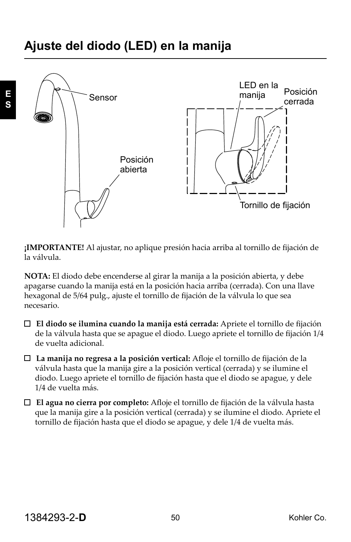

**¡IMPORTANTE!** Al ajustar, no aplique presión hacia arriba al tornillo de fijación de la válvula.

**NOTA:** El diodo debe encenderse al girar la manija a la posición abierta, y debe apagarse cuando la manija está en la posición hacia arriba (cerrada). Con una llave hexagonal de 5/64 pulg., ajuste el tornillo de fijación de la válvula lo que sea necesario.

- **El diodo se ilumina cuando la manija está cerrada:** Apriete el tornillo de fijciàn de la válvula hasta que se apague el diodo. Luego apriete el tornillo de fijciàn 1/4 de vuelta adicional.
- □ La manija no regresa a la posición vertical: Afloje el tornillo de fijación de la válvula hasta que la manija gire a la posición vertical (cerrada) y se ilumine el diodo. Luego apriete el tornillo de fijación hasta que el diodo se apague, y dele 1/4 de vuelta más.
- **El agua no cierra por completo:** floje el tornillo de fijciàn de la válvula hasta que la manija gire a la posición vertical (cerrada) y se ilumine el diodo. Apriete el tornillo de fijación hasta que el diodo se apague, y dele 1/4 de vuelta más.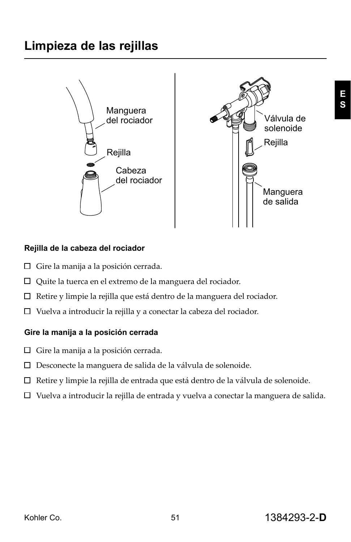

#### **Rejilla de la cabeza del rociador**

- Gire la manija a la posición cerrada.
- Quite la tuerca en el extremo de la manguera del rociador.
- $\Box$  Retire y limpie la rejilla que está dentro de la manguera del rociador.
- $\Box$  Vuelva a introducir la rejilla y a conectar la cabeza del rociador.

#### **Gire la manija a la posición cerrada**

- Gire la manija a la posición cerrada.
- Desconecte la manguera de salida de la válvula de solenoide.
- Retire y limpie la rejilla de entrada que está dentro de la válvula de solenoide.
- Vuelva a introducir la rejilla de entrada y vuelva a conectar la manguera de salida.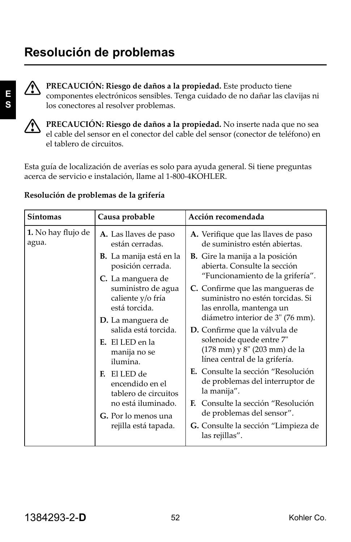### **Resolución de problemas**



**PRECAUCIÓN: Riesgo de daños a la propiedad.** Este producto tiene componentes electrónicos sensibles. Tenga cuidado de no dañar las clavijas ni los conectores al resolver problemas.



**PRECAUCIÓN: Riesgo de daños a la propiedad.** No inserte nada que no sea el cable del sensor en el conector del cable del sensor (conector de teléfono) en el tablero de circuitos.

Esta guía de localización de averías es solo para ayuda general. Si tiene preguntas acerca de servicio e instalación, llame al 1-800-4KOHLER.

| Síntomas                    | Causa probable                                                                                                                                                                                                                                                                                                                                      | Acción recomendada                                                                                                                                                                                                                                                                                                                                                                                                                                                                                                                                                  |
|-----------------------------|-----------------------------------------------------------------------------------------------------------------------------------------------------------------------------------------------------------------------------------------------------------------------------------------------------------------------------------------------------|---------------------------------------------------------------------------------------------------------------------------------------------------------------------------------------------------------------------------------------------------------------------------------------------------------------------------------------------------------------------------------------------------------------------------------------------------------------------------------------------------------------------------------------------------------------------|
| 1. No hay flujo de<br>agua. | A. Las llaves de paso<br>están cerradas.<br><b>B.</b> La manija está en la                                                                                                                                                                                                                                                                          | A. Verifique que las llaves de paso<br>de suministro estén abiertas.<br><b>B.</b> Gire la manija a la posición                                                                                                                                                                                                                                                                                                                                                                                                                                                      |
|                             | posición cerrada.<br>C. La manguera de<br>suministro de agua<br>caliente y/o fría<br>está torcida.<br><b>D.</b> La manguera de<br>salida está torcida.<br>E. El LED en la<br>manija no se<br>ilumina.<br><b>F.</b> El LED de<br>encendido en el<br>tablero de circuitos<br>no está iluminado.<br><b>G.</b> Por lo menos una<br>rejilla está tapada. | abierta. Consulte la sección<br>"Funcionamiento de la grifería".<br>C. Confirme que las mangueras de<br>suministro no estén torcidas. Si<br>las enrolla, mantenga un<br>diámetro interior de 3" (76 mm).<br>D. Confirme que la válvula de<br>solenoide quede entre 7"<br>(178 mm) y 8" (203 mm) de la<br>línea central de la grifería.<br>E. Consulte la sección "Resolución"<br>de problemas del interruptor de<br>la manija".<br><b>F.</b> Consulte la sección "Resolución"<br>de problemas del sensor".<br>G. Consulte la sección "Limpieza de<br>las rejillas". |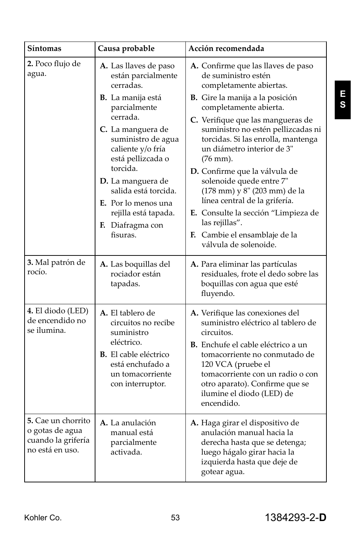| Síntomas                                                                       | Causa probable                                                                                                                                                                                                                                                                    | Acción recomendada                                                                                                                                                                                                                                                                                                                                                                                                                                                               |
|--------------------------------------------------------------------------------|-----------------------------------------------------------------------------------------------------------------------------------------------------------------------------------------------------------------------------------------------------------------------------------|----------------------------------------------------------------------------------------------------------------------------------------------------------------------------------------------------------------------------------------------------------------------------------------------------------------------------------------------------------------------------------------------------------------------------------------------------------------------------------|
| 2. Poco flujo de<br>agua.                                                      | A. Las llaves de paso<br>están parcialmente<br>cerradas.                                                                                                                                                                                                                          | A. Confirme que las llaves de paso<br>de suministro estén<br>completamente abiertas.                                                                                                                                                                                                                                                                                                                                                                                             |
|                                                                                | B. La manija está<br>parcialmente<br>cerrada.<br><b>C.</b> La manguera de<br>suministro de agua<br>caliente y/o fría<br>está pellizcada o<br>torcida.<br>D. La manguera de<br>salida está torcida.<br>E. Por lo menos una<br>rejilla está tapada.<br>F. Diafragma con<br>fisuras. | B. Gire la manija a la posición<br>completamente abierta.<br>C. Verifique que las mangueras de<br>suministro no estén pellizcadas ni<br>torcidas. Si las enrolla, mantenga<br>un diámetro interior de 3"<br>$(76 \text{ mm})$ .<br>D. Confirme que la válvula de<br>solenoide quede entre 7"<br>(178 mm) y 8" (203 mm) de la<br>línea central de la grifería.<br>E. Consulte la sección "Limpieza de<br>las rejillas".<br>F. Cambie el ensamblaje de la<br>válvula de solenoide. |
| 3. Mal patrón de<br>rocío.                                                     | A. Las boquillas del<br>rociador están<br>tapadas.                                                                                                                                                                                                                                | A. Para eliminar las partículas<br>residuales, frote el dedo sobre las<br>boquillas con agua que esté<br>fluyendo.                                                                                                                                                                                                                                                                                                                                                               |
| 4. El diodo (LED)<br>de encendido no<br>se ilumina.                            | <b>A.</b> El tablero de<br>circuitos no recibe<br>suministro<br>eléctrico.<br><b>B.</b> El cable eléctrico<br>está enchufado a<br>un tomacorriente<br>con interruptor.                                                                                                            | A. Verifique las conexiones del<br>suministro eléctrico al tablero de<br>circuitos.<br>B. Enchufe el cable eléctrico a un<br>tomacorriente no conmutado de<br>120 VCA (pruebe el<br>tomacorriente con un radio o con<br>otro aparato). Confirme que se<br>ilumine el diodo (LED) de<br>encendido.                                                                                                                                                                                |
| 5. Cae un chorrito<br>o gotas de agua<br>cuando la grifería<br>no está en uso. | <b>A.</b> La anulación<br>manual está<br>parcialmente<br>activada.                                                                                                                                                                                                                | A. Haga girar el dispositivo de<br>anulación manual hacia la<br>derecha hasta que se detenga;<br>luego hágalo girar hacia la<br>izquierda hasta que deje de<br>gotear agua.                                                                                                                                                                                                                                                                                                      |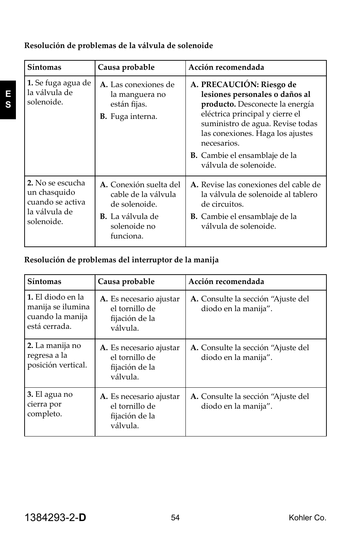| <b>Síntomas</b>                                                                     | Causa probable                                                                                                         | Acción recomendada                                                                                                                                                                                                                                                                       |
|-------------------------------------------------------------------------------------|------------------------------------------------------------------------------------------------------------------------|------------------------------------------------------------------------------------------------------------------------------------------------------------------------------------------------------------------------------------------------------------------------------------------|
| 1. Se fuga agua de<br>la válvula de<br>solenoide.                                   | A. Las conexiones de<br>la manguera no<br>están fijas.<br><b>B.</b> Fuga interna.                                      | A. PRECAUCIÓN: Riesgo de<br>lesiones personales o daños al<br>producto. Desconecte la energía<br>eléctrica principal y cierre el<br>suministro de agua. Revise todas<br>las conexiones. Haga los ajustes<br>necesarios.<br><b>B.</b> Cambie el ensamblaje de la<br>válvula de solenoide. |
| 2. No se escucha<br>un chasquido<br>cuando se activa<br>la válvula de<br>solenoide. | A. Conexión suelta del<br>cable de la válvula<br>de solenoide.<br><b>B.</b> La válvula de<br>solenoide no<br>funciona. | A. Revise las conexiones del cable de<br>la válvula de solenoide al tablero<br>de circuitos.<br><b>B.</b> Cambie el ensamblaje de la<br>válvula de solenoide.                                                                                                                            |

#### **Resolución de problemas de la válvula de solenoide**

#### **Resolución de problemas del interruptor de la manija**

| Síntomas                                                                    | Causa probable                                                          | Acción recomendada                                         |
|-----------------------------------------------------------------------------|-------------------------------------------------------------------------|------------------------------------------------------------|
| 1. El diodo en la<br>manija se ilumina<br>cuando la manija<br>está cerrada. | A. Es necesario ajustar<br>el tornillo de<br>fijación de la<br>válvula. | A. Consulte la sección "Ajuste del<br>diodo en la manija". |
| 2. La manija no<br>regresa a la<br>posición vertical.                       | A. Es necesario ajustar<br>el tornillo de<br>fijación de la<br>válvula. | A. Consulte la sección "Ajuste del<br>diodo en la manija". |
| <b>3.</b> El agua no<br>cierra por<br>completo.                             | A. Es necesario ajustar<br>el tornillo de<br>fijación de la<br>válvula. | A. Consulte la sección "Ajuste del<br>diodo en la manija". |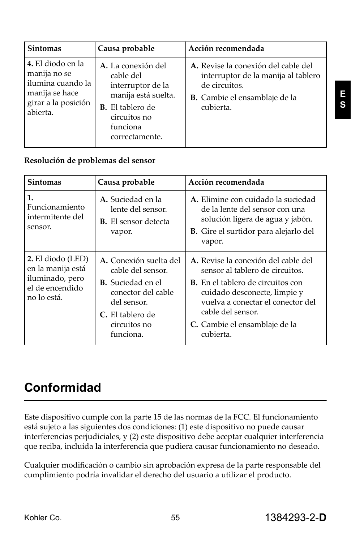| <b>Síntomas</b>                                                                                             | Causa probable                                                                                                                                              | Acción recomendada                                                                                                                               |
|-------------------------------------------------------------------------------------------------------------|-------------------------------------------------------------------------------------------------------------------------------------------------------------|--------------------------------------------------------------------------------------------------------------------------------------------------|
| 4. El diodo en la<br>manija no se<br>ilumina cuando la<br>manija se hace<br>girar a la posición<br>abierta. | <b>A.</b> La conexión del<br>cable del<br>interruptor de la<br>manija está suelta.<br><b>B.</b> El tablero de<br>circuitos no<br>funciona<br>correctamente. | A. Revise la conexión del cable del<br>interruptor de la manija al tablero<br>de circuitos.<br><b>B.</b> Cambie el ensamblaje de la<br>cubierta. |

#### **Resolución de problemas del sensor**

| <b>Síntomas</b>                                                                             | Causa probable                                                                                                                                                | Acción recomendada                                                                                                                                                                                                                                                |
|---------------------------------------------------------------------------------------------|---------------------------------------------------------------------------------------------------------------------------------------------------------------|-------------------------------------------------------------------------------------------------------------------------------------------------------------------------------------------------------------------------------------------------------------------|
| 1.<br>Funcionamiento<br>intermitente del<br>sensor.                                         | A. Suciedad en la<br>lente del sensor.<br><b>B.</b> El sensor detecta<br>vapor.                                                                               | A. Elimine con cuidado la suciedad<br>de la lente del sensor con una<br>solución ligera de agua y jabón.<br><b>B.</b> Gire el surtidor para alejarlo del<br>vapor.                                                                                                |
| 2. El diodo (LED)<br>en la manija está<br>iluminado, pero<br>el de encendido<br>no lo está. | A. Conexión suelta del<br>cable del sensor.<br><b>B.</b> Suciedad en el<br>conector del cable<br>del sensor.<br>C. El tablero de<br>circuitos no<br>funciona. | <b>A.</b> Revise la conexión del cable del<br>sensor al tablero de circuitos.<br><b>B.</b> En el tablero de circuitos con<br>cuidado desconecte, limpie y<br>vuelva a conectar el conector del<br>cable del sensor.<br>C. Cambie el ensamblaje de la<br>cubierta. |

### **Conformidad**

Este dispositivo cumple con la parte 15 de las normas de la FCC. El funcionamiento está sujeto a las siguientes dos condiciones: (1) este dispositivo no puede causar interferencias perjudiciales, y (2) este dispositivo debe aceptar cualquier interferencia que reciba, incluida la interferencia que pudiera causar funcionamiento no deseado.

Cualquier modificación o cambio sin aprobación expresa de la parte responsable del cumplimiento podría invalidar el derecho del usuario a utilizar el producto.

**E S**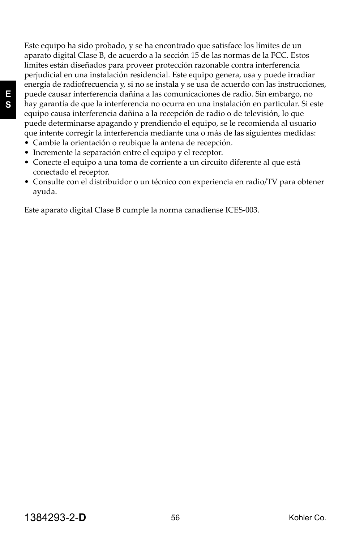Este equipo ha sido probado, y se ha encontrado que satisface los límites de un aparato digital Clase B, de acuerdo a la sección 15 de las normas de la FCC. Estos límites están diseñados para proveer protección razonable contra interferencia perjudicial en una instalación residencial. Este equipo genera, usa y puede irradiar energía de radiofrecuencia y, si no se instala y se usa de acuerdo con las instrucciones, puede causar interferencia dañina a las comunicaciones de radio. Sin embargo, no hay garantía de que la interferencia no ocurra en una instalación en particular. Si este equipo causa interferencia dañina a la recepción de radio o de televisión, lo que puede determinarse apagando y prendiendo el equipo, se le recomienda al usuario que intente corregir la interferencia mediante una o más de las siguientes medidas:

- Cambie la orientación o reubique la antena de recepción.
- Incremente la separación entre el equipo y el receptor.
- Conecte el equipo a una toma de corriente a un circuito diferente al que está conectado el receptor.
- Consulte con el distribuidor o un técnico con experiencia en radio/TV para obtener ayuda.

Este aparato digital Clase B cumple la norma canadiense ICES-003.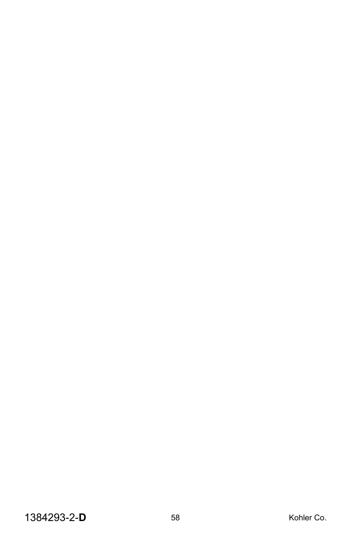1384293-2-**D** 58 Kohler Co.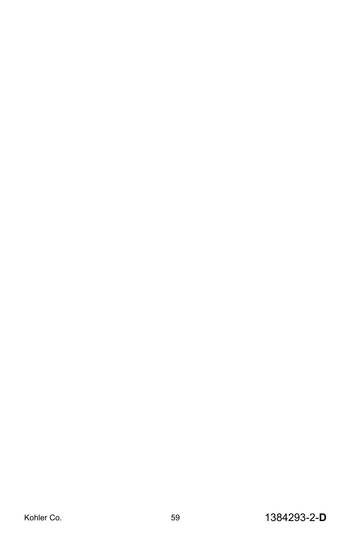### Kohler Co. 59 1384293-2-**D**